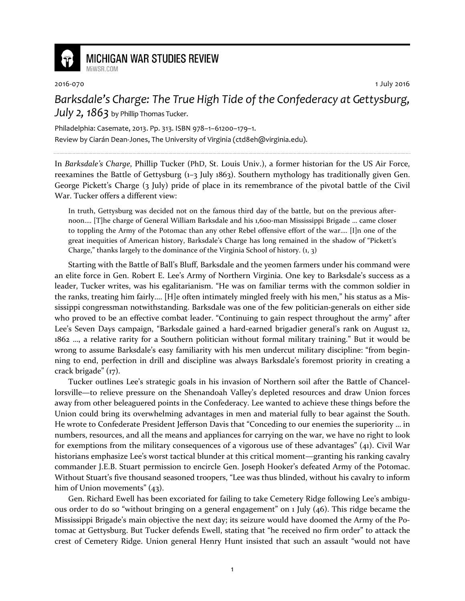

**MICHIGAN WAR STUDIES REVIEW** MiWSR COM

2016-070 1 July 2016

Barksdale's Charge: The True High Tide of the Confederacy at Gettysburg, July 2,  $1863$  by Phillip Thomas Tucker.

Philadelphia: Casemate, 2013. Pp. 313. ISBN 978–1–61200–179–1. Review by Ciarán Dean-Jones, The University of Virginia (ctd8eh@virginia.edu).

In Barksdale's Charge, Phillip Tucker (PhD, St. Louis Univ.), a former historian for the US Air Force, reexamines the Battle of Gettysburg (1–3 July 1863). Southern mythology has traditionally given Gen. George Pickett's Charge (3 July) pride of place in its remembrance of the pivotal battle of the Civil War. Tucker offers a different view:

In truth, Gettysburg was decided not on the famous third day of the battle, but on the previous afternoon…. [T]he charge of General William Barksdale and his 1,600-man Mississippi Brigade … came closer to toppling the Army of the Potomac than any other Rebel offensive effort of the war…. [I]n one of the great inequities of American history, Barksdale's Charge has long remained in the shadow of "Pickett's Charge," thanks largely to the dominance of the Virginia School of history.  $(1, 3)$ 

Starting with the Battle of Ball's Bluff, Barksdale and the yeomen farmers under his command were an elite force in Gen. Robert E. Lee's Army of Northern Virginia. One key to Barksdale's success as a leader, Tucker writes, was his egalitarianism. "He was on familiar terms with the common soldier in the ranks, treating him fairly…. [H]e often intimately mingled freely with his men," his status as a Mississippi congressman notwithstanding. Barksdale was one of the few politician-generals on either side who proved to be an effective combat leader. "Continuing to gain respect throughout the army" after Lee's Seven Days campaign, "Barksdale gained a hard-earned brigadier general's rank on August 12, 1862 …, a relative rarity for a Southern politician without formal military training." But it would be wrong to assume Barksdale's easy familiarity with his men undercut military discipline: "from beginning to end, perfection in drill and discipline was always Barksdale's foremost priority in creating a crack brigade" (17).

Tucker outlines Lee's strategic goals in his invasion of Northern soil after the Battle of Chancellorsville—to relieve pressure on the Shenandoah Valley's depleted resources and draw Union forces away from other beleaguered points in the Confederacy. Lee wanted to achieve these things before the Union could bring its overwhelming advantages in men and material fully to bear against the South. He wrote to Confederate President Jefferson Davis that "Conceding to our enemies the superiority … in numbers, resources, and all the means and appliances for carrying on the war, we have no right to look for exemptions from the military consequences of a vigorous use of these advantages" (41). Civil War historians emphasize Lee's worst tactical blunder at this critical moment—granting his ranking cavalry commander J.E.B. Stuart permission to encircle Gen. Joseph Hooker's defeated Army of the Potomac. Without Stuart's five thousand seasoned troopers, "Lee was thus blinded, without his cavalry to inform him of Union movements" (43).

Gen. Richard Ewell has been excoriated for failing to take Cemetery Ridge following Lee's ambiguous order to do so "without bringing on a general engagement" on 1 July (46). This ridge became the Mississippi Brigade's main objective the next day; its seizure would have doomed the Army of the Potomac at Gettysburg. But Tucker defends Ewell, stating that "he received no firm order" to attack the crest of Cemetery Ridge. Union general Henry Hunt insisted that such an assault "would not have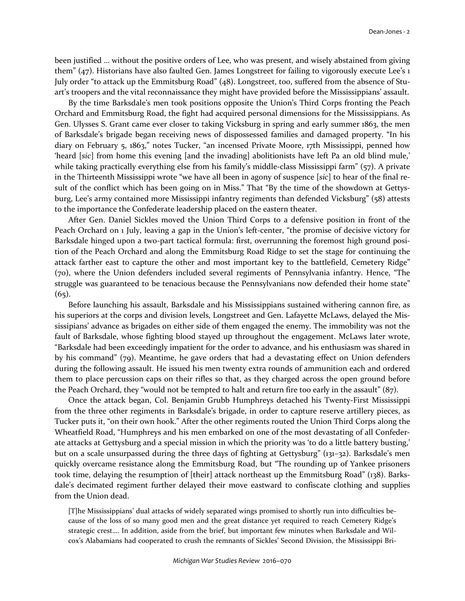been justified … without the positive orders of Lee, who was present, and wisely abstained from giving them" (47). Historians have also faulted Gen. James Longstreet for failing to vigorously execute Lee's 1 July order "to attack up the Emmitsburg Road" (48). Longstreet, too, suffered from the absence of Stuart's troopers and the vital reconnaissance they might have provided before the Mississippians' assault.

By the time Barksdale's men took positions opposite the Union's Third Corps fronting the Peach Orchard and Emmitsburg Road, the fight had acquired personal dimensions for the Mississippians. As Gen. Ulysses S. Grant came ever closer to taking Vicksburg in spring and early summer 1863, the men of Barksdale's brigade began receiving news of dispossessed families and damaged property. "In his diary on February 5, 1863," notes Tucker, "an incensed Private Moore, 17th Mississippi, penned how 'heard [sic] from home this evening [and the invading] abolitionists have left Pa an old blind mule,' while taking practically everything else from his family's middle-class Mississippi farm" (57). A private in the Thirteenth Mississippi wrote "we have all been in agony of suspence [sic] to hear of the final result of the conflict which has been going on in Miss." That "By the time of the showdown at Gettysburg, Lee's army contained more Mississippi infantry regiments than defended Vicksburg" (58) attests to the importance the Confederate leadership placed on the eastern theater.

After Gen. Daniel Sickles moved the Union Third Corps to a defensive position in front of the Peach Orchard on 1 July, leaving a gap in the Union's left-center, "the promise of decisive victory for Barksdale hinged upon a two-part tactical formula: first, overrunning the foremost high ground position of the Peach Orchard and along the Emmitsburg Road Ridge to set the stage for continuing the attack farther east to capture the other and most important key to the battlefield, Cemetery Ridge" (70), where the Union defenders included several regiments of Pennsylvania infantry. Hence, "The struggle was guaranteed to be tenacious because the Pennsylvanians now defended their home state"  $(65)$ .

Before launching his assault, Barksdale and his Mississippians sustained withering cannon fire, as his superiors at the corps and division levels, Longstreet and Gen. Lafayette McLaws, delayed the Mississipians' advance as brigades on either side of them engaged the enemy. The immobility was not the fault of Barksdale, whose fighting blood stayed up throughout the engagement. McLaws later wrote, "Barksdale had been exceedingly impatient for the order to advance, and his enthusiasm was shared in by his command" (79). Meantime, he gave orders that had a devastating effect on Union defenders during the following assault. He issued his men twenty extra rounds of ammunition each and ordered them to place percussion caps on their rifles so that, as they charged across the open ground before the Peach Orchard, they "would not be tempted to halt and return fire too early in the assault" (87).

Once the attack began, Col. Benjamin Grubb Humphreys detached his Twenty-First Mississippi from the three other regiments in Barksdale's brigade, in order to capture reserve artillery pieces, as Tucker puts it, "on their own hook." After the other regiments routed the Union Third Corps along the Wheatfield Road, "Humphreys and his men embarked on one of the most devastating of all Confederate attacks at Gettysburg and a special mission in which the priority was 'to do a little battery busting,' but on a scale unsurpassed during the three days of fighting at Gettysburg" (131–32). Barksdale's men quickly overcame resistance along the Emmitsburg Road, but "The rounding up of Yankee prisoners took time, delaying the resumption of [their] attack northeast up the Emmitsburg Road" (138). Barksdale's decimated regiment further delayed their move eastward to confiscate clothing and supplies from the Union dead.

[T]he Mississippians' dual attacks of widely separated wings promised to shortly run into difficulties because of the loss of so many good men and the great distance yet required to reach Cemetery Ridge's strategic crest…. In addition, aside from the brief, but important few minutes when Barksdale and Wilcox's Alabamians had cooperated to crush the remnants of Sickles' Second Division, the Mississippi Bri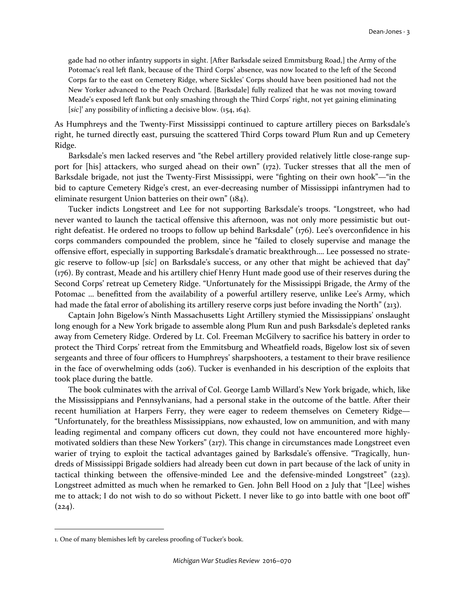gade had no other infantry supports in sight. [After Barksdale seized Emmitsburg Road,] the Army of the Potomac's real left flank, because of the Third Corps' absence, was now located to the left of the Second Corps far to the east on Cemetery Ridge, where Sickles' Corps should have been positioned had not the New Yorker advanced to the Peach Orchard. [Barksdale] fully realized that he was not moving toward Meade's exposed left flank but only smashing through the Third Corps' right, not yet gaining eliminating [sic]<sup>1</sup> any possibility of inflicting a decisive blow. (154, 164).

As Humphreys and the Twenty-First Mississippi continued to capture artillery pieces on Barksdale's right, he turned directly east, pursuing the scattered Third Corps toward Plum Run and up Cemetery Ridge.

Barksdale's men lacked reserves and "the Rebel artillery provided relatively little close-range support for [his] attackers, who surged ahead on their own" (172). Tucker stresses that all the men of Barksdale brigade, not just the Twenty-First Mississippi, were "fighting on their own hook"—"in the bid to capture Cemetery Ridge's crest, an ever-decreasing number of Mississippi infantrymen had to eliminate resurgent Union batteries on their own" (184).

Tucker indicts Longstreet and Lee for not supporting Barksdale's troops. "Longstreet, who had never wanted to launch the tactical offensive this afternoon, was not only more pessimistic but outright defeatist. He ordered no troops to follow up behind Barksdale" (176). Lee's overconfidence in his corps commanders compounded the problem, since he "failed to closely supervise and manage the offensive effort, especially in supporting Barksdale's dramatic breakthrough…. Lee possessed no strategic reserve to follow-up [sic] on Barksdale's success, or any other that might be achieved that day" (176). By contrast, Meade and his artillery chief Henry Hunt made good use of their reserves during the Second Corps' retreat up Cemetery Ridge. "Unfortunately for the Mississippi Brigade, the Army of the Potomac … benefitted from the availability of a powerful artillery reserve, unlike Lee's Army, which had made the fatal error of abolishing its artillery reserve corps just before invading the North" (213).

Captain John Bigelow's Ninth Massachusetts Light Artillery stymied the Mississippians' onslaught long enough for a New York brigade to assemble along Plum Run and push Barksdale's depleted ranks away from Cemetery Ridge. Ordered by Lt. Col. Freeman McGilvery to sacrifice his battery in order to protect the Third Corps' retreat from the Emmitsburg and Wheatfield roads, Bigelow lost six of seven sergeants and three of four officers to Humphreys' sharpshooters, a testament to their brave resilience in the face of overwhelming odds (206). Tucker is evenhanded in his description of the exploits that took place during the battle.

The book culminates with the arrival of Col. George Lamb Willard's New York brigade, which, like the Mississippians and Pennsylvanians, had a personal stake in the outcome of the battle. After their recent humiliation at Harpers Ferry, they were eager to redeem themselves on Cemetery Ridge— "Unfortunately, for the breathless Mississippians, now exhausted, low on ammunition, and with many leading regimental and company officers cut down, they could not have encountered more highlymotivated soldiers than these New Yorkers" (217). This change in circumstances made Longstreet even warier of trying to exploit the tactical advantages gained by Barksdale's offensive. "Tragically, hundreds of Mississippi Brigade soldiers had already been cut down in part because of the lack of unity in tactical thinking between the offensive-minded Lee and the defensive-minded Longstreet" (223). Longstreet admitted as much when he remarked to Gen. John Bell Hood on 2 July that "[Lee] wishes me to attack; I do not wish to do so without Pickett. I never like to go into battle with one boot off"  $(224).$ 

l

<sup>1.</sup> One of many blemishes left by careless proofing of Tucker's book.